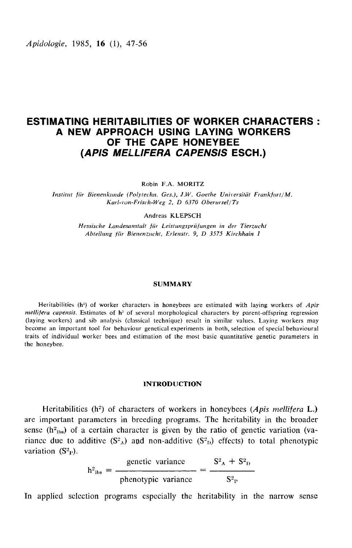*Apidologie*, 1985, 16 (1), 47-56

# ESTIMATING HERITABILITIES OF WORKER CHARACTERS : A NEW APPROACH USING LAYING WORKERS OF THE CAPE HONEYBEE (APIS MELLIFERA CAPENSIS ESCH.)

Robin F.A. MORITZ

Institut für Bienenkunde (Polytechn. Ges.), J.W. Goethe Universität Frankfurt/M. Kar!-von-Frisch-Weg 2, D 6370 Oberursel/Ts

Andreas KLEPSCH

Hessische Landesanstalt für Leistungsprüfungen in der Tierzucht Abteilung für Bienenzucht, Erlenstr. 9, D 3575 Kirchhain 1

#### SUMMARY

Heritabilities ( $h^2$ ) of worker characters in honeybees are estimated with laying workers of Apis  $mellifera \ capensis$ . Estimates of  $h<sup>2</sup>$  of several morphological characters by parent-offspring regression (laying workers) and sib analysis (classical technique) result in similar values. Laying workers may become an important tool for behaviour genetical experiments in both, selection of special behavioural traits of individual worker bees and estimation of the most basic quantitative genetic parameters in the honeybee.

#### INTRODUCTION

Heritabilities (h<sup>2</sup>) of characters of workers in honeybees (Apis mellifera L.) are important parameters in breeding programs. The heritability in the broader sense (h<sup>2</sup><sub>lbs</sub>) of characters of workers in noneybees (*Apis metupera* L.)<br>are important parameters in breeding programs. The heritability in the broader<br>sense (h<sup>2</sup><sub>lbs</sub>) of a certain character is given by the ratio of sense (h<sup>2</sup><sub>ibs</sub>) of a certain character is given by the ratio of genetic variation (va-<br>riance due to additive (S<sup>2</sup><sub>A</sub>) and non-additive (S<sup>2</sup><sub>D</sub>) effects) to total phenotypic variation  $(S_{\rm P}^2)$ .

 $h^{2}_{\text{ins}} = \frac{\text{genetic variance}}{\text{binotypic variance}} = \frac{S^{2}_{A} + S^{2}_{D}}{S^{2}_{P}}$ 

In applied selcction programs especially the heritability in the narrow sense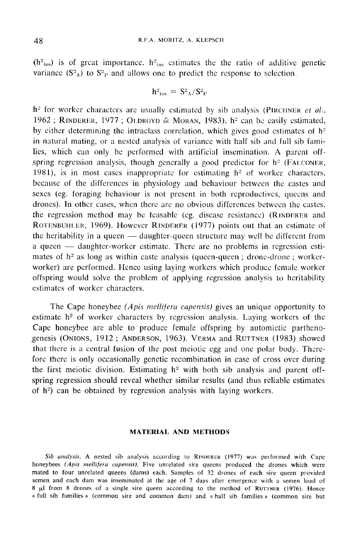$(h<sup>2</sup>_{\text{ins}})$  is of great importance.  $h<sup>2</sup>_{\text{ins}}$  estimates the the ratio of additive genetic variance  $(S^2_A)$  to  $S^2_{\text{P}}$  and allows one to predict the response to selection.

$$
\rm h^2_{\, \, ins}\, =\, S^2 {}_{\Lambda} / S^2 {}_{\Gamma}
$$

variance  $(S^2_A)$  to  $S^2_P$  and allows one to predict the response to selection.<br>  $h^2_{\text{ins}} = S^2_A/S^2_P$ <br>  $h^2$  for worker characters are usually estimated by sib analysis (PIRCINER *et al.*, 1962; RINDERER, 1977; OLDROYD &  $h^2_{\text{ins}} = S^2_A/S^2_P$ <br>  $h^2$  for worker characters are usually estimated by sib analysis (PIRCHNER *et al.*,<br>
1962 ; RINDERER, 1977 ; OLDROYD & MORAN, 1983). h<sup>2</sup> can be easily estimated,<br>
by either determining the intracl by either determining the intraclass correlation, which gives good estimates of  $h<sup>2</sup>$ in natural mating, or a nested analysis of variance with half sib and full sib families, which can only be performed with artificial insemination. A parent offspring regression analysis, though generally a good predictor for  $h^2$  (FALCONER, 1981), is in most cases inappropriate for estimating  $h^2$  of worker characters, because of the differences in physiology and behaviour between the castes and sexes (eg. foraging behaviour is not present in both reproductives, queens and drones). In other cases, when there are no obvious differences between the castes, the regression method may be feasable (eg. disease resistance) (RINDERER and ROTENBUHLER, 1969). However RINDERER (1977) points out that an estimate of because of the differences in physiology and behaviour between the castes and<br>sexes (eg. foraging behaviour is not present in both reproductives, queens and<br>drones). In other cases, when there are no obvious differences be the heritability in a queen — daughter-queen structure may well be different from a queen - daughter-worker estimate. There are no problems in regression estimates of  $h<sup>2</sup>$  as long as within caste analysis (queen-queen ; drone-drone ; workerworker) are performed. Hence using laying workers which produce female worker offspring would solve the problem of applying regression analysis to heritability estimates of worker characters.

The Cape honeybee (*Apis mellifera capensis*) gives an unique opportunity to estimate h<sup>2</sup> of worker characters by regression analysis. Laying workers of the Cape honeybee are able to produce female offspring by automictic partheno-<br>genesis (ONIONS, 1912; ANDERSON, 1963). VERMA and RUTTNER (1983) showed The Cape honeybee (*Apis mellifera capensis*) gives an unique opportunity to estimate  $h^2$  of worker characters by regression analysis. Laying workers of the Cape honeybee are able to produce female offspring by automict that there is a central fusion of the post meiotic egg and one polar body. Therefore there is only occasionally genetic recombination in case of cross over during the first meiotic division. Estimating  $h^2$  with both sib analysis and parent offspring regression should reveal whether similar results (and thus reliable estimates of h<sup>2</sup>) can be obtained by regression analysis with laying workers.

### MATERIAL AND METHODS

Sib analysis. A nested sib analysis according to RINDERER (1977) was performed with Cape honeybees (Apis mellifera capensis). Five unrelated sire queens produced the drones which were mated to four unrelated queens (dams) each. Samples of 32 drones of each sire queen provided semen and each dam was inseminated at the age of 7 days after emergence with a semen load of  $\theta$   $\mu$ l from 8 drones of a single sire queen according to the method of RUTTNER (1976). Hence 8 ILL From 8 drones of a single sire queen according to the method of each sire queen provided semen and each dam was inseminated at the age of 7 days after emergence with a semen load of 8  $\mu$ l from 8 drones of a single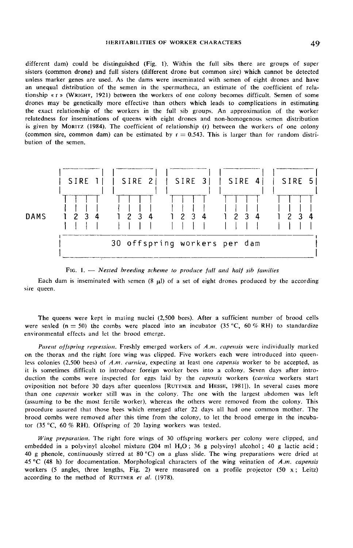different dam) could be distinguished (Fig. 1). Within the full sibs there are groups of super sisters (common drone) and full sisters (different drone but common sire) which cannot be detected unless marker genes are used. As the dams were inseminated with semen of eight drones and have an unequal distribution of the semen in the spermatheca, an estimate of the coefficient of relationship « r » (WxtcHT, 1921) between the workers of one colony becomes difficult. Semen of some drones may be genetically more effective than others which leads to complications in estimating the exact relationship of the workers in the full sib groups. An approximation of the worker relatedness for inseminations of queens with eight drones and non-homogenous semen distribution<br>is given by MORITZ (1984). The coefficient of relationship (r) between the workers of one colony drones may be genetically more effective than others which leads to complications in estimating<br>the exact relationship of the workers in the full sib groups. An approximation of the worker<br>relatedness for inseminations of (common sire, common dam) can be estimated by  $r = 0.543$ . This is larger than for random distribution of the semen.





Each dam is inseminated with semen  $(8 \text{µ})$  of a set of eight drones produced by the according sire queen.

The queens were kept in mating nuclei (2,500 bees). After a sufficient number of brood cells were sealed (n = 50) the combs were placed into an incubator (35 °C, 60 % RH) to standardize environmental effects and let the brood emerge.

Parent offspring regression. Freshly emerged workers of A.m. capensis were individually marked on the thorax and the right fore wing was clipped. Five workers each were introduced into queenless colonies (2,500 bees) of A.m. carnica, expecting at least one capensis worker to be accepted, as it is sometimes difficult to introduce foreign worker bees into a colony. Seven days after introduction the combs were inspected for eggs laid by the *capensis* workers (carnica workers start on the thorax and the right fore wing was clipped. Five workers each were introduced into queen-<br>less colonies (2,500 bees) of A.m. carnica, expecting at least one *capensis* worker to be accepted, as<br>it is sometimes diff (assuming to be the most fertile worker), whereas the others were removed from the colony. This procedure assured that those bees which emerged after 22 days all had one common mother. The brood combs were removed after this time from the colony, to let the brood emerge in the incubator (35 °C, 60 % RH). Offspring of 20 laying workers was tested.

Wing preparation. The right fore wings of 30 offspring workers per colony were clipped, and embedded in a polyvinyl alcohol mixture (204 ml H<sub>2</sub>O; 36 g polyvinyl alcohol; 40 g lactic acid; 40 g phenole, continuously stirred at 80 °C) on a glass slide. The wing preparations were dried at 45 °C (48 h) for documentation. Morphological characters of the wing veination of *A.m. capensis* workers (5 angles, three 45 °C (48 h) for documentation. Morphological characters of the wing veination of  $A.m.$  capensis workers (5 angles, three lengths, Fig. 2) were measured on a profile projector (50 x; Leitz) according to the method of RUTTNER *et al.* (1978).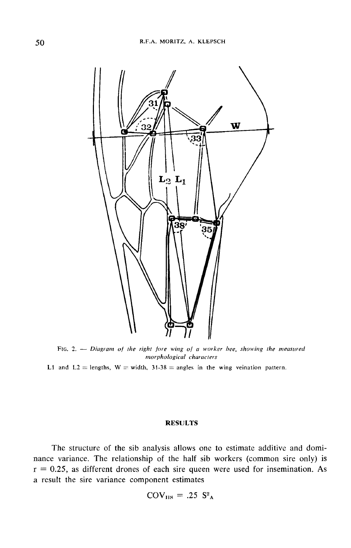

FIG. 2.  $-$  Diagram of the right fore wing of a worker bee, showing the measured morphological characters

L1 and L2 = lengths,  $W = width$ , 31-38 = angles in the wing veination pattern.

## RESULTS

The structure of the sib analysis allows one to estimate additive and dominance variance. The relationship of the half sib workers (common sire only) is  $r = 0.25$ , as different drones of each sire queen were used for insemination. As a result the sire variance component estimates

$$
COV_{HS} = .25 S2A
$$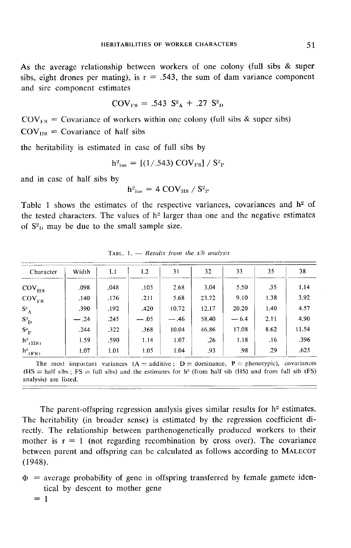As the average relationship between workers of one colony (full sibs & super sibs, eight drones per mating), is  $r = .543$ , the sum of dam variance component and sire component estimates

$$
COV_{FS} = .543 S2A + .27 S2D
$$

 $COV_{FS} = .543 S<sup>2</sup>A + .27 S<sup>2</sup>D$ <br> $COV_{FS} = Covariance of workers within one colony (full sibs & super sibs)$  $COV_{FS}$  = Covariance of workers<br>COV<sub>IIS</sub> = Covariance of half sibs

the heritability is estimated in case of full sibs by

$$
\mathrm{h}^2_{\mathrm{ins}} = \left[ (1/.543) \mathrm{COV}_{\mathrm{FS}} \right] / \mathrm{S}^2_{\mathrm{P}}
$$

and in case of half sibs by

$$
h^2_{\rm ins} = 4 \text{ COV}_{\rm HS} / S^2_{\rm P}
$$

Table 1 shows the estimates of the respective variances, covariances and  $h<sup>2</sup>$  of the tested characters. The values of h<sup>2</sup> larger than one and the negative estimates of  $S_{\text{D}}^2$  may be due to the small sample size.

| Character                                | Width  | L1   | L2     | 31     | 32    | 33     | 35   | 38    |  |  |  |
|------------------------------------------|--------|------|--------|--------|-------|--------|------|-------|--|--|--|
| $\mathrm{COV}_{\mathrm{HS}}$             | .098   | ,048 | .105   | 2.68   | 3.04  | 5.50   | .35  | 1.14  |  |  |  |
| $COV_{FS}$                               | .140   | .176 | .211   | 5.68   | 23.72 | 9.10   | 1.38 | 3.92  |  |  |  |
| $\mathbf{S}^{\mathrm{a}}{}_{\mathbf{A}}$ | .390   | .192 | .420   | 10.72  | 12.17 | 20.20  | 1.40 | 4.57  |  |  |  |
| $S^3$                                    | $-.24$ | .245 | $-.05$ | $-.46$ | 58.40 | $-6.4$ | 2.11 | 4.90  |  |  |  |
| $\mathbf{S}^{\text{a}}_{\ \ \mathbf{P}}$ | .244   | .322 | .368   | 10.04  | 46.86 | 17.08  | 8.62 | 11.54 |  |  |  |
| $h^3$ <sub>(HS)</sub>                    | 1.59   | .590 | 1.14   | 1.07   | .26   | 1.18   | .16  | .396  |  |  |  |
| $h^2$ <sub>(FS)</sub>                    | 1.07   | 1.01 | 1.05   | 1.04   | .93   | .98    | .29  | .625  |  |  |  |

TABL. 1.  $-$  Results from the s.b analysis

The most important variances  $(A = additive; D = dominance, P = phenotypic)$ , covariances  $(HS = half sibs ; FS = full sibs)$  and the estimates for h<sup>2</sup> (from half sib (HS) and from full sib (FS) analysis) are listed.

The parent-offspring regression analysis gives similar results for  $h<sup>2</sup>$  estimates. The heritability (in broader sense) is estimated by the regression coefficient directly. The relationship between parthenogenetically produced workers to their mother is  $r = 1$  (not regarding recombination by cross over). The covariance The parent-offspring regression analysis gives similar results for n<sup>2</sup> estimates.<br>The heritability (in broader sense) is estimated by the regression coefficient di-<br>rectly. The relationship between parthenogenetically pr (1948).

- $\Phi$  = average probability of gene in offspring transferred by female gamete identical by descent to mother gene<br>=  $1$ 
	-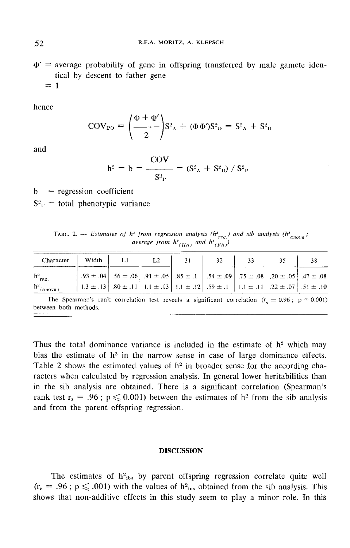$\Phi'$  = average probability of gene in offspring transferred by male gamete identical by descent to father gene<br>=  $1$ 

hence

$$
COV_{P0} = \left(\frac{\Phi + \Phi'}{2}\right) S_{A}^{2} + (\Phi \Phi) S_{D}^{2} = S_{A}^{2} + S_{D}^{2}
$$

and

$$
h^{2} = b = \frac{COV}{S_{P}^{2}} = (S_{A}^{2} + S_{P}^{2}) / S_{P}^{2}
$$

 $b = regression coefficient$  $S_{\rm P}^2$  = total phenotypic variance

TABL. 2. -- Estimates of  $h^2$  from regression analysis ( $h^2_{req}$ ) and sib analysis ( $h^2_{anora}$ ; average from  $h^2$ <sub>(HS)</sub> and  $h^2$ <sub>(HS)</sub>)

| Character                |                                                                                                                                                                                                                                        | Width $\vert$ L1 $\vert$ L2 | 31 | 32 | 33 | -35                                                                                                                                                  | -38 |
|--------------------------|----------------------------------------------------------------------------------------------------------------------------------------------------------------------------------------------------------------------------------------|-----------------------------|----|----|----|------------------------------------------------------------------------------------------------------------------------------------------------------|-----|
| $h^3_{reg.}$             |                                                                                                                                                                                                                                        |                             |    |    |    | .93 ± .04 $\pm$ .05 $\pm$ .06 $\pm$ .06 $\pm$ .05 $\pm$ .85 $\pm$ .1 $\pm$ .54 $\pm$ .09 $\pm$ .75 $\pm$ .08 $\pm$ .05 $\pm$ .05 $\pm$ .07 $\pm$ .08 |     |
| $h^2$ <sub>(anova)</sub> | $\begin{vmatrix} 1.3 \pm .13 \end{vmatrix}$ $.80 \pm .11$ $\begin{vmatrix} 1.1 \pm .13 \end{vmatrix}$ $.11 \pm .12$ $.59 \pm .1$ $\begin{vmatrix} 1.1 \pm .11 \end{vmatrix}$ $.22 \pm .07$ $\begin{vmatrix} .51 \pm .10 \end{vmatrix}$ |                             |    |    |    |                                                                                                                                                      |     |
| between both methods.    | The Spearman's rank correlation test reveals a significant correlation $(r_a = 0.96; p \le 0.001)$                                                                                                                                     |                             |    |    |    |                                                                                                                                                      |     |

Thus the total dominance variance is included in the estimate of  $h<sup>2</sup>$  which may bias the estimate of  $h^2$  in the narrow sense in case of large dominance effects. Table 2 shows the estimated values of  $h^2$  in broader sense for the according characters when calculated by regression analysis. In general lower heritabilities than in the sib analysis are obtained. There is a significant correlation (Spearman's rank test  $r_s = .96$ ;  $p \le 0.001$ ) between the estimates of  $h^2$  from the sib analysis and from the parent offspring regression.

# DISCUSSION

The estimates of  $h_{\text{abs}}^2$  by parent offspring regression correlate quite well  $(r_s = .96$ ;  $p \le .001$ ) with the values of  $h_{ins}^2$  obtained from the sib analysis. This shows that non-additive effects in this study seem to play a minor role. In this

52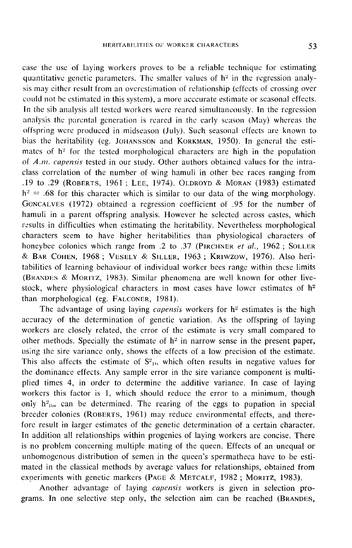case the use of laying workers proves to be a reliable technique for estimating quantitative genetic parameters. The smaller values of  $h<sup>2</sup>$  in the regression analysis may either result from an overestimation of relationship (effects of crossing over could not be estimated in this system), a more acccurate estimate or seasonal effects. In the sib analysis all tested workers were reared simultaneously. In the regression analysis the parental generation is reared in the early season (May) whereas the offspring were produced in midseason (July). Such seasonal effects are known to bias the heritability (eg. JOHANSSON and KORKMAN, 1950). In general the esticould not be estimated in this system), a more acccurate estimate or seasonal effects.<br>In the sib analysis all tested workers were reared simultaneously. In the regression<br>analysis the parental generation is reared in the mates of h<sup>2</sup> for the tested morphological characters are high in the population of  $A.m.$  capensis tested in our study. Other authors obtained values for the intraclass correlation of the number of wing hamuli in other bee races ranging from bias the heritability (eg. JOHANSSON and KORKMAN, 1950). In general the estimates of h<sup>2</sup> for the tested morphological characters are high in the population of *A.m. capensis* tested in our study. Other authors obtained v .19 to .29 (ROBERTS, 1961; LEE, 1974). OLDROYD & MORAN (1983) estimated mates of in<br>of A.m. cap<br>class correl:<br>.19 to .29<br> $h^2 = .68$  fc<br>Goncalves<br>hamuli in a  $h^2 = .68$  for this character which is similar to our data of the wing morphology. ONCALVES (1972) obtained a regression coefficient of .95 for the number of hamuli in a parent offspring analysis. However he selected across castes, which results in difficulties when estimating the heritability. Nevertheless morphological characters seem to have higher heritabilities than physiological characters of honeybee colonies which range from .2 to .37 (PIRCHNER et al., 1962; SOLLER & BAR COHEN, 1968; VESELY & SILLER, 1963; KRIWZOW, 1976). Also herihamuli in a parent offspring analysis. However he selected across castes, which<br>results in difficulties when estimating the heritability. Nevertheless morphological<br>characters seem to have higher heritabilities than physio tabilities of learning behaviour of individual worker bees range within these limits (BRANDES & MORITZ, 1983). Similar phenomena are well known for other livestock, where physiological characters in most cases have lower estimates of  $h^2$ than morphological (eg. FALCONER, 1981).

The advantage of using laying *capensis* workers for  $h^2$  estimates is the high accuracy of the determination of genetic variation. As the offspring of laying workers are closely related, the error of the estimate is very small compared to other methods. Specially the estimate of  $h^2$  in narrow sense in the present paper, using the sire variance only, shows the effects of a low precision of the estimate. This also affects the estimate of  $S_{p}^2$ , which often results in negative values for the dominance effects. Any sample error in the sire variance component is multiplied times 4, in order to determine the additive variance. In case of laying workers this factor is 1, which should reduce the error to a minimum, though only  $h^2_{\text{abs}}$  can be determined. The rearing of the eggs to pupation in special breeder colonies (ROBERTS, 1961) may reduce environmental effects, and therefore result in larger estimates of the genetic determination of a certain character. In addition all relationships within progenies of laying workers are concise. There is no problem concerning multiple mating of the queen. Effects of an unequal or unhomogenous distribution of semen in the queen's spermatheca have to be estimated in the classical methods by average values for relationships, obtained from In addition all relationships within progenies of laying workers are concise. This no problem concerning multiple mating of the queen. Effects of an unequa unhomogenous distribution of semen in the queen's spermatheca hav unhomogenous distribution of semen in the queen's spermatheca have to be esti-<br>mated in the classical methods by average values for relationships, obtained from<br>experiments with genetic markers (PAGE & METCALF, 1982; MORIT

Another advantage of laying *capensis* workers is given in selection pro-<br>grams. In one selective step only, the selection aim can be reached (BRANDES,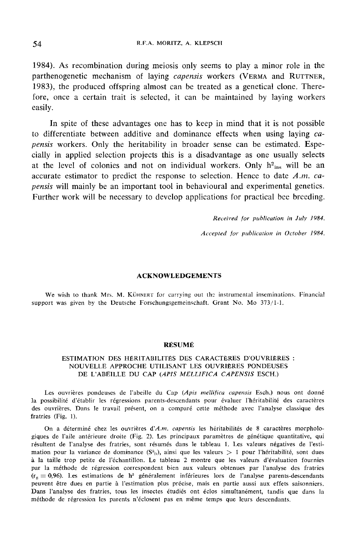1984). As recombination during meiosis only seems to play a minor role in the parthenogenetic mechanism of laying capensis workers (VERMA and RUTTNER, 1983), the produced offspring almost can be treated as a genetical clone. Therefore, once a certain trait is selected, it can be maintained by laying workers easily.

In spite of these advantages one has to keep in mind that it is not possible to differentiate between additive and dominance effects when using laying capensis workers. Only the heritability in broader sense can be estimated. Especially in applied selection projects this is a disadvantage as one usually selects at the level of colonies and not on individual workers. Only  $h^2_{ins}$  will be an accurate estimator to predict the response to selection. Hence to date  $A.m.$  capensis will mainly be an important tool in behavioural and experimental genetics. Further work will be necessary to develop applications for practical bee breeding.

> Received for publication in July 1984. Accepted for publication in October 1984.

## ACKNOWLEDGEMENTS

We wish to thank Mrs. M. KÜHNERT for carrying out the instrumental inseminations. Financial support was given by the Deutsche Forschungsgemeinschaft. Grant No. Mo 373/1-1.

## RÉSUMÉ

# ESTIMATION DES HÉRITABILITÉS DES CARACTÈRES D'OUVRIÈRES : NOUVELLE APPROCHE UTILISANT LES OUVRIÈRES PONDEUSES DE L'ABEILLE DU CAP (APIS MELLIFICA CAPENSIS ESCH.)

Les ouvrières pondeuses de l'abeille du Cap (Apis mellifica capensis Esch.) nous ont donné la possibilité d'établir les régressions parents-descendants pour évaluer l'héritabilité des caractères des ouvrières. Dans le travail présent, on a comparé cette méthode avec l'analyse classique des fratries (Fig. 1).

On a déterminé chez les ouvrières d'A.m. capensis les héritabilités de 8 caractères morphologiques de l'aile antérieure droite (Fig. 2). Les principaux paramètres de génétique quantitative, qui résultent de l'analyse des fratries, sont résumés dans le tableau 1. Les valeurs négatives de l'estimation pour la variance de dominance  $(S_{\text{b}}^2)$ , ainsi que les valeurs  $> 1$  pour l'héritabilité, sont dues à la taille trop petite de l'échantillon. Le tableau 2 montre que les valeurs d'évaluation fournies par la méthode de régression correspondent bien aux valeurs obtenues par l'analyse des fratries  $(r<sub>s</sub> = 0.96)$ . Les estimations de h<sup>2</sup> généralement inférieures lors de l'analyse parents-descendants peuvent être dues en partie à l'estimation plus précise, mais en partie aussi aux effets saisonniers. Dans l'analyse des fratries, tous les insectes étudiés ont éclos simultanément, tandis que dans la méthode de régression les parents n'éclosent pas en même temps que leurs descendants.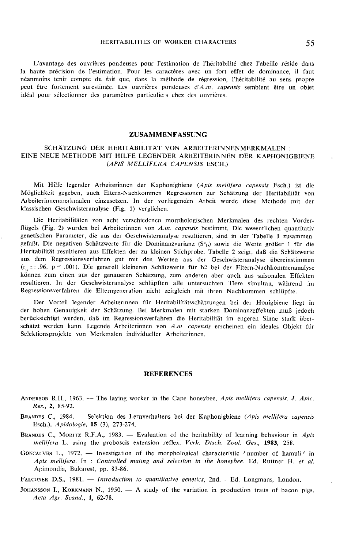L'avantage des ouvrières pondeuses pour l'estimation de l'héritabilité chez l'abeille réside dans la haute précision de l'estimation. Pour les caractères avec un fort effet de dominance, il faut néanmoins tenir compte du fait que, dans la méthode de régression, l'héritabilité au sens propre peut être fortement surestimée. Les ouvrières pondeuses d'A.m. capensis semblent être un objet idéal pour sélectionner des paramètres particuliers chez des ouvrières.

#### ZUSAMMENFASSUNG

## SCHÄTZUNG DER HERITABILITÄT VON ARBEITERINNENMERKMALEN : EINE NEUE METHODE MIT HILFE LEGENDER ARBEITERINNEN DER KAPHONIGBIENE (APIS MELLIFERA CAPENSIS ESCH.)

Mit Hilfe legender Arbeiterinnen der Kaphonigbiene (Apis mellifera capensis Esch.) ist die Möglichkeit gegeben, auch Eltern-Nachkommen Regressionen zur Schätzung der Heritabilität von Arbeiterinnenmerkmalen einzusetzen. In der vorliegenden Arbeit wurde diese Methode mit der klassischen Geschwisteranalyse (Fig. 1) verglichen.

Die Heritabilitäten von acht verschiedenen morphologischen Merkmalen des rechten Vorderflügels (Fig. 2) wurden bei Arbeiterinnen von A.m. capensis bestimmt. Die wesentlichen quantitativ genetischen Parameter, die aus der Geschwisteranalyse resultieren, sind in der Tabelle 1 zusammengefaßt. Die negativen Schätzwerte für die Dominanzvarianz (S<sup>-</sup><sub>1</sub>) sowie die Werte größer 1 für die Heritabilität resultieren aus Effekten der zu kleinen Stichprobe. Tabelle 2 zeigt, daß die Schätzwerte aus dem Regressio Heritabilität resultieren aus Effekten der zu kleinen Stichprobe. Tabelle 2 zeigt, daß die Schätzwerte aus dem Regressionsverfahren gut mit den Werten aus der Geschwisteranalyse übereinstimmen<br>  $(r_s = .96, p \le .001)$ . Die generell kleineren Schätzwerte für h<sup>2</sup> bei der Eltern-Nachkommenanalyse können zum einen aus der genaueren Schätzung, zum anderen aber auch aus saisonalen Effekten resultieren. In der Geschwisteranalyse schlüpften alle untersuchten Tiere simultan, während im Regressionsverfahren die Elterngeneration nicht zeitgleich mit ihren Nachkommen schlüpfte.

Der Vorteil legender Arbeiterinnen für Heritabilitätsschätzungen bei der Honigbiene liegt in der hohen Genauigkeit der Schätzung. Bei Merkmalen mit starken Dominanzeffekten muß jedoch berücksichtigt werden, daß im Regressionsverfahren die Heritabilität im engeren Sinne stark über-<br>schätzt werden kann. Legende Arbeiterinnen von A.m. capensis erscheinen ein ideales Objekt für Selektionsprojekte von Merkmalen individueller Arbeiterinnen.

### **REFERENCES**

- ANDERSON R.H., 1963. -- The laying worker in the Cape honeybee, Apis mellifera capensis. J. Apic. Res., 2, 85-92. ANDERSON R.H., 1963. -- The laying worker in the Cape honeybee, Apis mellifera capensis. J. Apic.<br>Res., 2, 85-92.<br>BRANDES C., 1984. -- Selektion des Lernverhaltens bei der Kaphonigbiene (Apis mellifera capensis<br>Esch.). Api
- Esch.). Apidologie, 15 (3), 273-274. BRANDES C., 1984. — Selektion des Lernverhaltens bei der Kaphonigbiene (Apis mellifera capensis<br>Esch.). Apidologie, 15 (3), 273-274.<br>BRANDES C., MORITZ R.F.A., 1983. — Evaluation of the heritability of learning behaviour i
- mellifera L. using the proboscis extension reflex. Verh. Dtsch. Zool. Ges., 1983, 258.
- GONCALVES L., 1972. Investigation of the morphological characteristic 'number of hamuli' in Apis mellifera. In : Controlled mating and selection in the honeybee. Ed. Ruttner H. et al. Apimondia, Bukarest, pp. 83-86.

FALCONER D.S., 1981. - Introduction to quantitative genetics, 2nd. - Ed. Longmans, London.

JOHANSSON I., KORKMANN N., 1950. - A study of the variation in production traits of bacon pigs. Acta Agr. Scand., 1, 62-78.